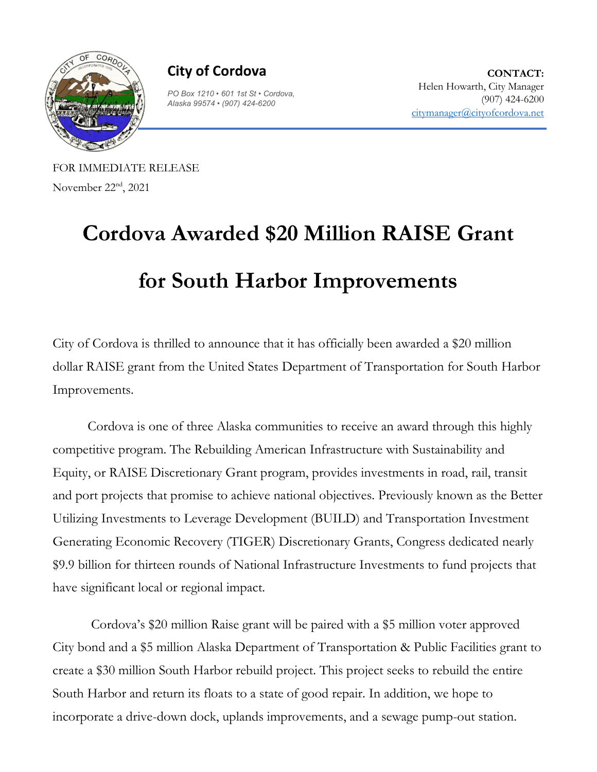

**City of Cordova**

*PO Box 1210 • 601 1st St* • *Cordova, Alaska 99574* • *(907) 424-6200*

**CONTACT:** Helen Howarth, City Manager (907) 424-6200 [citymanager@cityofcordova.net](mailto:citymanager@cityofcordova.net)

FOR IMMEDIATE RELEASE November 22nd, 2021

## **Cordova Awarded \$20 Million RAISE Grant for South Harbor Improvements**

City of Cordova is thrilled to announce that it has officially been awarded a \$20 million dollar RAISE grant from the United States Department of Transportation for South Harbor Improvements.

Cordova is one of three Alaska communities to receive an award through this highly competitive program. The Rebuilding American Infrastructure with Sustainability and Equity, or RAISE Discretionary Grant program, provides investments in road, rail, transit and port projects that promise to achieve national objectives. Previously known as the Better Utilizing Investments to Leverage Development (BUILD) and Transportation Investment Generating Economic Recovery (TIGER) Discretionary Grants, Congress dedicated nearly \$9.9 billion for thirteen rounds of National Infrastructure Investments to fund projects that have significant local or regional impact.

Cordova's \$20 million Raise grant will be paired with a \$5 million voter approved City bond and a \$5 million Alaska Department of Transportation & Public Facilities grant to create a \$30 million South Harbor rebuild project. This project seeks to rebuild the entire South Harbor and return its floats to a state of good repair. In addition, we hope to incorporate a drive-down dock, uplands improvements, and a sewage pump-out station.